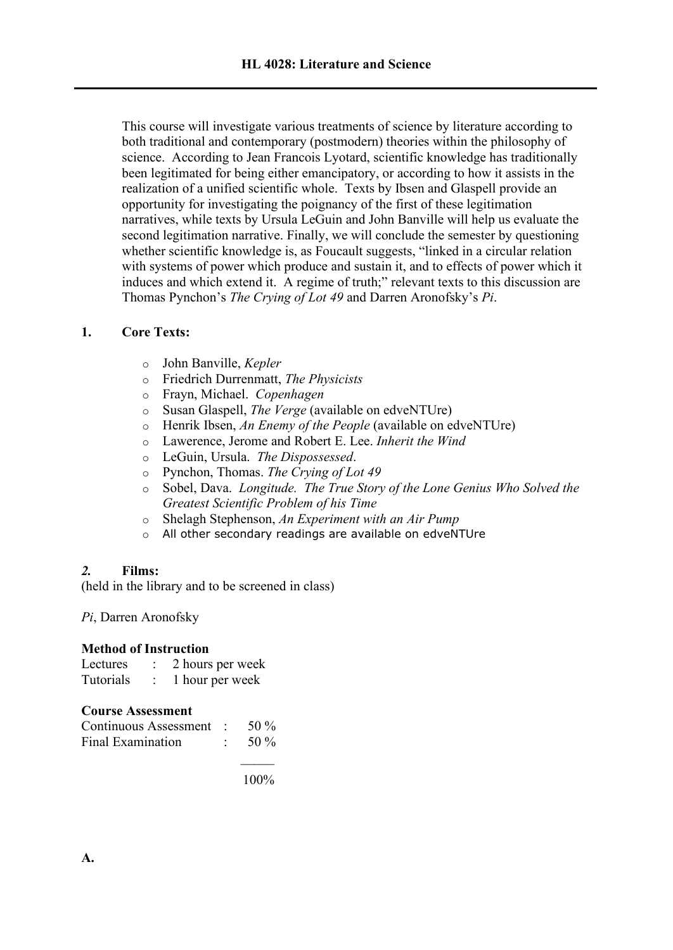This course will investigate various treatments of science by literature according to both traditional and contemporary (postmodern) theories within the philosophy of science. According to Jean Francois Lyotard, scientific knowledge has traditionally been legitimated for being either emancipatory, or according to how it assists in the realization of a unified scientific whole. Texts by Ibsen and Glaspell provide an opportunity for investigating the poignancy of the first of these legitimation narratives, while texts by Ursula LeGuin and John Banville will help us evaluate the second legitimation narrative. Finally, we will conclude the semester by questioning whether scientific knowledge is, as Foucault suggests, "linked in a circular relation with systems of power which produce and sustain it, and to effects of power which it induces and which extend it. A regime of truth;" relevant texts to this discussion are Thomas Pynchon's *The Crying of Lot 49* and Darren Aronofsky's *Pi*.

# **1. Core Texts:**

- o John Banville, *Kepler*
- o Friedrich Durrenmatt, *The Physicists*
- o Frayn, Michael. *Copenhagen*
- o Susan Glaspell, *The Verge* (available on edveNTUre)
- o Henrik Ibsen, *An Enemy of the People* (available on edveNTUre)
- o Lawerence, Jerome and Robert E. Lee. *Inherit the Wind*
- o LeGuin, Ursula. *The Dispossessed*.
- o Pynchon, Thomas. *The Crying of Lot 49*
- o Sobel, Dava. *Longitude. The True Story of the Lone Genius Who Solved the Greatest Scientific Problem of his Time*
- o Shelagh Stephenson, *An Experiment with an Air Pump*
- o All other secondary readings are available on edveNTUre

## *2.* **Films:**

(held in the library and to be screened in class)

*Pi*, Darren Aronofsky

## **Method of Instruction**

| Lectures  | 2 hours per week |
|-----------|------------------|
| Tutorials | 1 hour per week  |

## **Course Assessment**

| Continuous Assessment :  | 50 %    |
|--------------------------|---------|
| <b>Final Examination</b> | 50 $\%$ |

 $\mathcal{L}$ 100%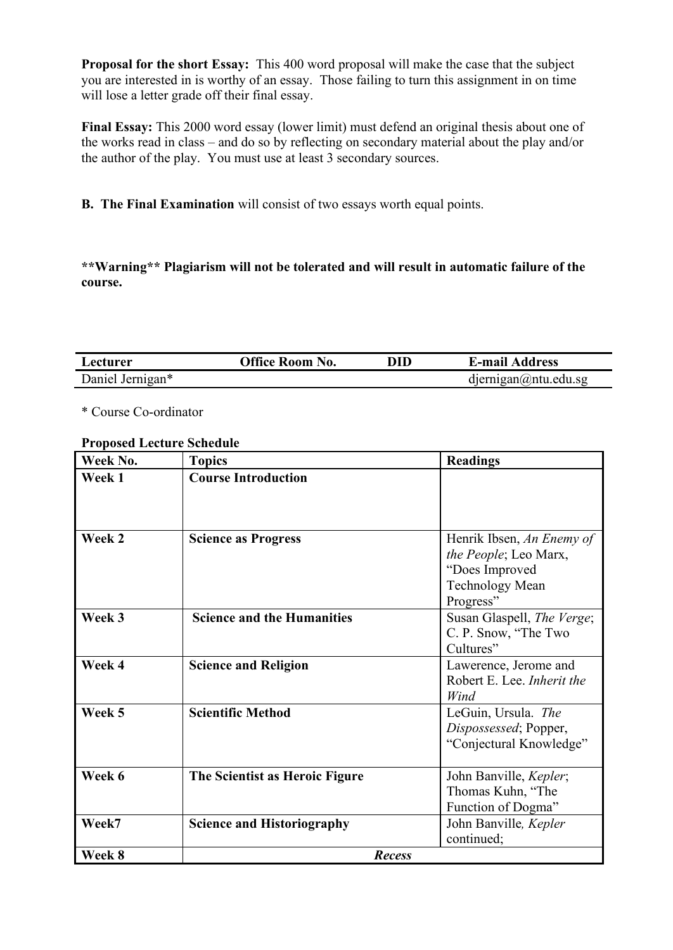**Proposal for the short Essay:** This 400 word proposal will make the case that the subject you are interested in is worthy of an essay. Those failing to turn this assignment in on time will lose a letter grade off their final essay.

**Final Essay:** This 2000 word essay (lower limit) must defend an original thesis about one of the works read in class – and do so by reflecting on secondary material about the play and/or the author of the play. You must use at least 3 secondary sources.

**B. The Final Examination** will consist of two essays worth equal points.

**\*\*Warning\*\* Plagiarism will not be tolerated and will result in automatic failure of the course.**

| Lecturer         | Office Room No. | DID | <b>E-mail Address</b>      |
|------------------|-----------------|-----|----------------------------|
| Daniel Jernigan* |                 |     | $d$ ernigan $@$ ntu.edu.sg |

\* Course Co-ordinator

### **Proposed Lecture Schedule**

| Week No. | <b>Topics</b>                     | <b>Readings</b>            |
|----------|-----------------------------------|----------------------------|
| Week 1   | <b>Course Introduction</b>        |                            |
|          |                                   |                            |
|          |                                   |                            |
| Week 2   | <b>Science as Progress</b>        | Henrik Ibsen, An Enemy of  |
|          |                                   | the People; Leo Marx,      |
|          |                                   | "Does Improved             |
|          |                                   | <b>Technology Mean</b>     |
|          |                                   | Progress"                  |
| Week 3   | <b>Science and the Humanities</b> | Susan Glaspell, The Verge; |
|          |                                   | C. P. Snow, "The Two       |
|          |                                   | Cultures"                  |
| Week 4   | <b>Science and Religion</b>       | Lawerence, Jerome and      |
|          |                                   | Robert E. Lee. Inherit the |
|          |                                   | Wind                       |
| Week 5   | <b>Scientific Method</b>          | LeGuin, Ursula. The        |
|          |                                   | Dispossessed; Popper,      |
|          |                                   | "Conjectural Knowledge"    |
|          |                                   |                            |
| Week 6   | The Scientist as Heroic Figure    | John Banville, Kepler;     |
|          |                                   | Thomas Kuhn, "The          |
|          |                                   | Function of Dogma"         |
| Week7    | <b>Science and Historiography</b> | John Banville, Kepler      |
|          |                                   | continued;                 |
| Week 8   | <b>Recess</b>                     |                            |